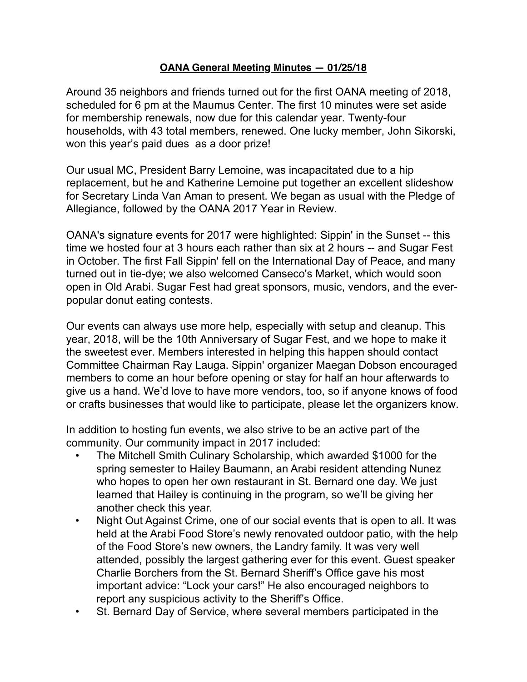## **OANA General Meeting Minutes — 01/25/18**

Around 35 neighbors and friends turned out for the first OANA meeting of 2018, scheduled for 6 pm at the Maumus Center. The first 10 minutes were set aside for membership renewals, now due for this calendar year. Twenty-four households, with 43 total members, renewed. One lucky member, John Sikorski, won this year's paid dues as a door prize!

Our usual MC, President Barry Lemoine, was incapacitated due to a hip replacement, but he and Katherine Lemoine put together an excellent slideshow for Secretary Linda Van Aman to present. We began as usual with the Pledge of Allegiance, followed by the OANA 2017 Year in Review.

OANA's signature events for 2017 were highlighted: Sippin' in the Sunset -- this time we hosted four at 3 hours each rather than six at 2 hours -- and Sugar Fest in October. The first Fall Sippin' fell on the International Day of Peace, and many turned out in tie-dye; we also welcomed Canseco's Market, which would soon open in Old Arabi. Sugar Fest had great sponsors, music, vendors, and the everpopular donut eating contests.

Our events can always use more help, especially with setup and cleanup. This year, 2018, will be the 10th Anniversary of Sugar Fest, and we hope to make it the sweetest ever. Members interested in helping this happen should contact Committee Chairman Ray Lauga. Sippin' organizer Maegan Dobson encouraged members to come an hour before opening or stay for half an hour afterwards to give us a hand. We'd love to have more vendors, too, so if anyone knows of food or crafts businesses that would like to participate, please let the organizers know.

In addition to hosting fun events, we also strive to be an active part of the community. Our community impact in 2017 included:

- The Mitchell Smith Culinary Scholarship, which awarded \$1000 for the spring semester to Hailey Baumann, an Arabi resident attending Nunez who hopes to open her own restaurant in St. Bernard one day. We just learned that Hailey is continuing in the program, so we'll be giving her another check this year.
- Night Out Against Crime, one of our social events that is open to all. It was held at the Arabi Food Store's newly renovated outdoor patio, with the help of the Food Store's new owners, the Landry family. It was very well attended, possibly the largest gathering ever for this event. Guest speaker Charlie Borchers from the St. Bernard Sheriff's Office gave his most important advice: "Lock your cars!" He also encouraged neighbors to report any suspicious activity to the Sheriff's Office.
- St. Bernard Day of Service, where several members participated in the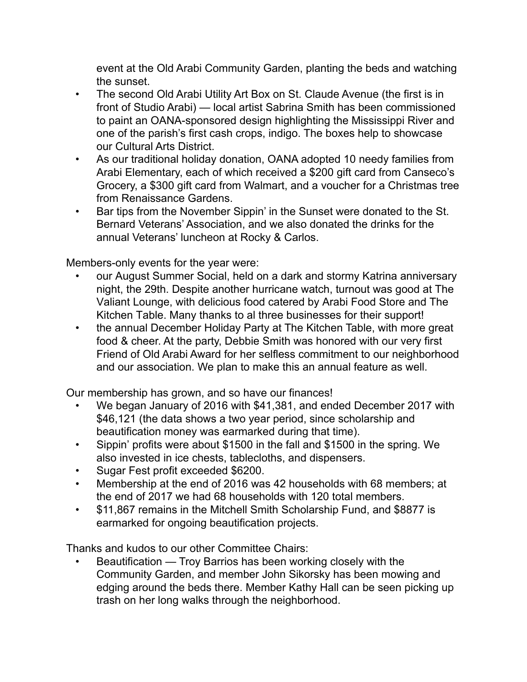event at the Old Arabi Community Garden, planting the beds and watching the sunset.

- The second Old Arabi Utility Art Box on St. Claude Avenue (the first is in front of Studio Arabi) — local artist Sabrina Smith has been commissioned to paint an OANA-sponsored design highlighting the Mississippi River and one of the parish's first cash crops, indigo. The boxes help to showcase our Cultural Arts District.
- As our traditional holiday donation, OANA adopted 10 needy families from Arabi Elementary, each of which received a \$200 gift card from Canseco's Grocery, a \$300 gift card from Walmart, and a voucher for a Christmas tree from Renaissance Gardens.
- Bar tips from the November Sippin' in the Sunset were donated to the St. Bernard Veterans' Association, and we also donated the drinks for the annual Veterans' luncheon at Rocky & Carlos.

Members-only events for the year were:

- our August Summer Social, held on a dark and stormy Katrina anniversary night, the 29th. Despite another hurricane watch, turnout was good at The Valiant Lounge, with delicious food catered by Arabi Food Store and The Kitchen Table. Many thanks to al three businesses for their support!
- the annual December Holiday Party at The Kitchen Table, with more great food & cheer. At the party, Debbie Smith was honored with our very first Friend of Old Arabi Award for her selfless commitment to our neighborhood and our association. We plan to make this an annual feature as well.

Our membership has grown, and so have our finances!

- We began January of 2016 with \$41,381, and ended December 2017 with \$46,121 (the data shows a two year period, since scholarship and beautification money was earmarked during that time).
- Sippin' profits were about \$1500 in the fall and \$1500 in the spring. We also invested in ice chests, tablecloths, and dispensers.
- Sugar Fest profit exceeded \$6200.
- Membership at the end of 2016 was 42 households with 68 members; at the end of 2017 we had 68 households with 120 total members.
- \$11,867 remains in the Mitchell Smith Scholarship Fund, and \$8877 is earmarked for ongoing beautification projects.

Thanks and kudos to our other Committee Chairs:

• Beautification — Troy Barrios has been working closely with the Community Garden, and member John Sikorsky has been mowing and edging around the beds there. Member Kathy Hall can be seen picking up trash on her long walks through the neighborhood.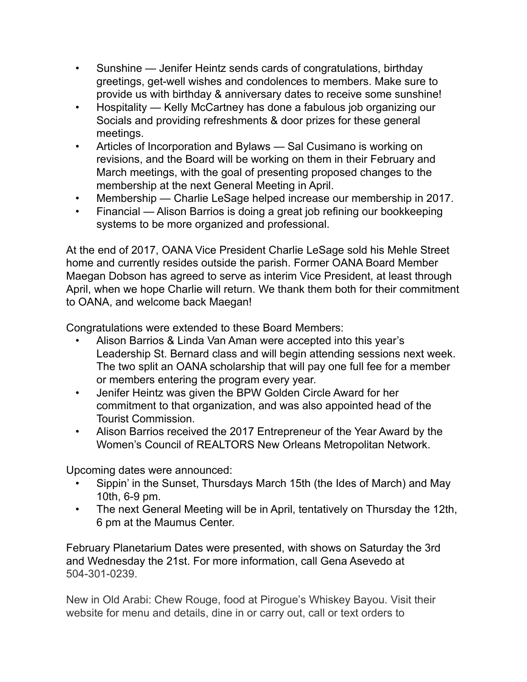- Sunshine Jenifer Heintz sends cards of congratulations, birthday greetings, get-well wishes and condolences to members. Make sure to provide us with birthday & anniversary dates to receive some sunshine!
- Hospitality Kelly McCartney has done a fabulous job organizing our Socials and providing refreshments & door prizes for these general meetings.
- Articles of Incorporation and Bylaws Sal Cusimano is working on revisions, and the Board will be working on them in their February and March meetings, with the goal of presenting proposed changes to the membership at the next General Meeting in April.
- Membership Charlie LeSage helped increase our membership in 2017.
- Financial Alison Barrios is doing a great job refining our bookkeeping systems to be more organized and professional.

At the end of 2017, OANA Vice President Charlie LeSage sold his Mehle Street home and currently resides outside the parish. Former OANA Board Member Maegan Dobson has agreed to serve as interim Vice President, at least through April, when we hope Charlie will return. We thank them both for their commitment to OANA, and welcome back Maegan!

Congratulations were extended to these Board Members:

- Alison Barrios & Linda Van Aman were accepted into this year's Leadership St. Bernard class and will begin attending sessions next week. The two split an OANA scholarship that will pay one full fee for a member or members entering the program every year.
- Jenifer Heintz was given the BPW Golden Circle Award for her commitment to that organization, and was also appointed head of the Tourist Commission.
- Alison Barrios received the 2017 Entrepreneur of the Year Award by the Women's Council of REALTORS New Orleans Metropolitan Network.

Upcoming dates were announced:

- Sippin' in the Sunset, Thursdays March 15th (the Ides of March) and May 10th, 6-9 pm.
- The next General Meeting will be in April, tentatively on Thursday the 12th, 6 pm at the Maumus Center.

February Planetarium Dates were presented, with shows on Saturday the 3rd and Wednesday the 21st. For more information, call Gena Asevedo at 504-301-0239.

New in Old Arabi: Chew Rouge, food at Pirogue's Whiskey Bayou. Visit their website for menu and details, dine in or carry out, call or text orders to